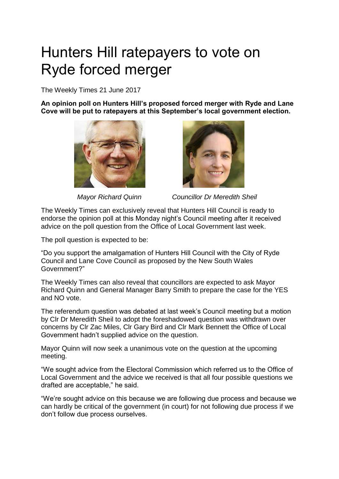## Hunters Hill ratepayers to vote on Ryde forced merger

The Weekly Times 21 June 2017

**An opinion poll on Hunters Hill's proposed forced merger with Ryde and Lane Cove will be put to ratepayers at this September's local government election.**





 *Mayor Richard Quinn Councillor Dr Meredith Sheil* 

The Weekly Times can exclusively reveal that Hunters Hill Council is ready to endorse the opinion poll at this Monday night's Council meeting after it received advice on the poll question from the Office of Local Government last week.

The poll question is expected to be:

"Do you support the amalgamation of Hunters Hill Council with the City of Ryde Council and Lane Cove Council as proposed by the New South Wales Government?"

The Weekly Times can also reveal that councillors are expected to ask Mayor Richard Quinn and General Manager Barry Smith to prepare the case for the YES and NO vote.

The referendum question was debated at last week's Council meeting but a motion by Clr Dr Meredith Sheil to adopt the foreshadowed question was withdrawn over concerns by Clr Zac Miles, Clr Gary Bird and Clr Mark Bennett the Office of Local Government hadn't supplied advice on the question.

Mayor Quinn will now seek a unanimous vote on the question at the upcoming meeting.

"We sought advice from the Electoral Commission which referred us to the Office of Local Government and the advice we received is that all four possible questions we drafted are acceptable," he said.

"We're sought advice on this because we are following due process and because we can hardly be critical of the government (in court) for not following due process if we don't follow due process ourselves.